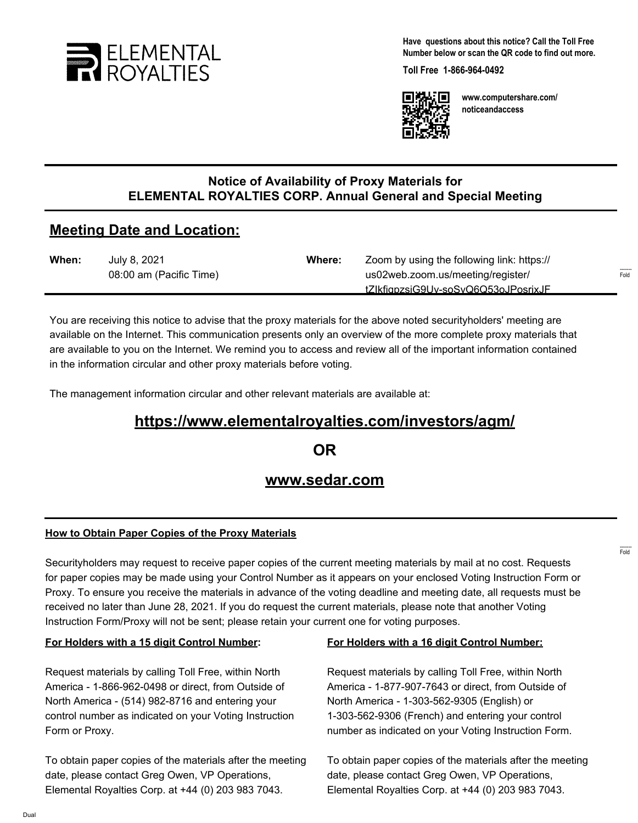

**Have questions about this notice? Call the Toll Free Number below or scan the QR code to find out more.**

**Toll Free 1-866-964-0492**



**www.computershare.com/ noticeandaccess**

### **Notice of Availability of Proxy Materials for ELEMENTAL ROYALTIES CORP. Annual General and Special Meeting**

# **Meeting Date and Location:**

| When: | July 8, 2021            | Where: | Zoom by using the following link: https:// |                             |
|-------|-------------------------|--------|--------------------------------------------|-----------------------------|
|       | 08:00 am (Pacific Time) |        | us02web.zoom.us/meeting/register/          | $1 - 1 - 1 - 1 = 0$<br>Fold |
|       |                         |        | tZlkfigpzsiG9Uv-soSvQ6Q53oJPosrixJF        |                             |

You are receiving this notice to advise that the proxy materials for the above noted securityholders' meeting are available on the Internet. This communication presents only an overview of the more complete proxy materials that are available to you on the Internet. We remind you to access and review all of the important information contained in the information circular and other proxy materials before voting.

The management information circular and other relevant materials are available at:

# **https://www.elementalroyalties.com/investors/agm/**

**OR**

## **www.sedar.com**

#### **How to Obtain Paper Copies of the Proxy Materials**

Securityholders may request to receive paper copies of the current meeting materials by mail at no cost. Requests for paper copies may be made using your Control Number as it appears on your enclosed Voting Instruction Form or Proxy. To ensure you receive the materials in advance of the voting deadline and meeting date, all requests must be received no later than June 28, 2021. If you do request the current materials, please note that another Voting Instruction Form/Proxy will not be sent; please retain your current one for voting purposes.

#### **For Holders with a 15 digit Control Number:**

Request materials by calling Toll Free, within North America - 1-866-962-0498 or direct, from Outside of North America - (514) 982-8716 and entering your control number as indicated on your Voting Instruction Form or Proxy.

To obtain paper copies of the materials after the meeting date, please contact Greg Owen, VP Operations, Elemental Royalties Corp. at +44 (0) 203 983 7043.

#### **For Holders with a 16 digit Control Number:**

Request materials by calling Toll Free, within North America - 1-877-907-7643 or direct, from Outside of North America - 1-303-562-9305 (English) or 1-303-562-9306 (French) and entering your control number as indicated on your Voting Instruction Form.

To obtain paper copies of the materials after the meeting date, please contact Greg Owen, VP Operations, Elemental Royalties Corp. at +44 (0) 203 983 7043.